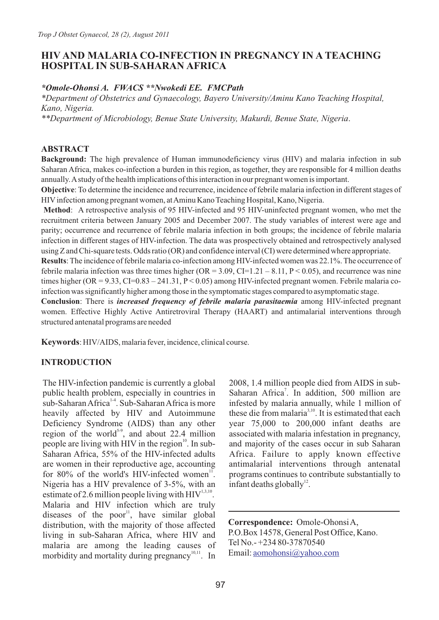## **HIV AND MALARIA CO-INFECTION IN PREGNANCY IN A TEACHING HOSPITAL IN SUB-SAHARAN AFRICA**

#### *\*Omole-Ohonsi A. FWACS \*\*Nwokedi EE. FMCPath*

*\*Department of Obstetrics and Gynaecology, Bayero University/Aminu Kano Teaching Hospital, Kano, Nigeria.*

*\*\*Department of Microbiology, Benue State University, Makurdi, Benue State, Nigeria*.

#### **ABSTRACT**

**Background:** The high prevalence of Human immunodeficiency virus (HIV) and malaria infection in sub Saharan Africa, makes co-infection a burden in this region, as together, they are responsible for 4 million deaths annually. Astudy of the health implications of this interaction in our pregnant women is important.

**Objective**: To determine the incidence and recurrence, incidence of febrile malaria infection in different stages of HIVinfection among pregnant women, at Aminu Kano Teaching Hospital, Kano, Nigeria.

**Method**: A retrospective analysis of 95 HIV-infected and 95 HIV-uninfected pregnant women, who met the recruitment criteria between January 2005 and December 2007. The study variables of interest were age and parity; occurrence and recurrence of febrile malaria infection in both groups; the incidence of febrile malaria infection in different stages of HIV-infection. The data was prospectively obtained and retrospectively analysed using Z and Chi-square tests. Odds ratio (OR) and confidence interval (CI) were determined where appropriate.

**Results**: The incidence of febrile malaria co-infection among HIV-infected women was 22.1%. The occurrence of febrile malaria infection was three times higher  $(OR = 3.09, CI = 1.21 - 8.11, P < 0.05)$ , and recurrence was nine times higher (OR =  $9.33$ , CI= $0.83 - 241.31$ , P < 0.05) among HIV-infected pregnant women. Febrile malaria coinfection was significantly higher among those in the symptomatic stages compared to asymptomatic stage.

**Conclusion**: There is *increased frequency of febrile malaria parasitaemia* among HIV-infected pregnant women. Effective Highly Active Antiretroviral Therapy (HAART) and antimalarial interventions through structured antenatal programs are needed

**Keywords**: HIV/AIDS, malaria fever, incidence, clinical course.

#### **INTRODUCTION**

The HIV-infection pandemic is currently a global public health problem, especially in countries in sub-Saharan Africa<sup>1-4</sup>. Sub-Saharan Africa is more heavily affected by HIV and Autoimmune Deficiency Syndrome (AIDS) than any other region of the world<sup>5-9</sup>, and about 22.4 million people are living with HIV in the region $^{10}$ . In sub-Saharan Africa, 55% of the HIV-infected adults are women in their reproductive age, accounting for 80% of the world's HIV-infected women $11$ . Nigeria has a HIV prevalence of 3-5%, with an estimate of 2.6 million people living with  $\text{HIV}^{1,3,10}$ . Malaria and HIV infection which are truly diseases of the poor<sup>11</sup>, have similar global distribution, with the majority of those affected living in sub-Saharan Africa, where HIV and malaria are among the leading causes of morbidity and mortality during pregnancy $10,11$ . In

2008, 1.4 million people died from AIDS in sub-Saharan Africa<sup>7</sup>. In addition, 500 million are infested by malaria annually, while 1 million of these die from malaria<sup> $3,10$ </sup>. It is estimated that each year 75,000 to 200,000 infant deaths are associated with malaria infestation in pregnancy, and majority of the cases occur in sub Saharan Africa. Failure to apply known effective antimalarial interventions through antenatal programs continues to contribute substantially to infant deaths globally $^{12}$ .

**Correspondence:** Omole-Ohonsi A, P.O.Box 14578, General Post Office, Kano. Tel No.- +234 80-37870540 Email: [aomohonsi@yahoo.com](mailto:aomohonsi@yahoo.com)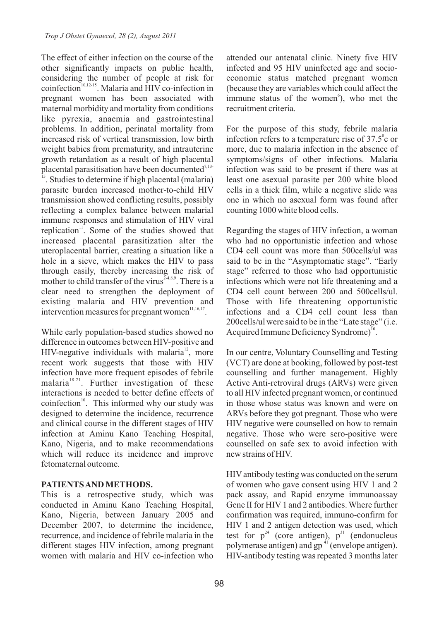The effect of either infection on the course of the other significantly impacts on public health, considering the number of people at risk for  $\overline{\text{coinfection}}^{10,12-15}$ . Malaria and HIV co-infection in pregnant women has been associated with maternal morbidity and mortality from conditions like pyrexia, anaemia and gastrointestinal problems. In addition, perinatal mortality from increased risk of vertical transmission, low birth weight babies from prematurity, and intrauterine growth retardation as a result of high placental placental parasitisation have been documented $^{7,13-}$ 

<sup>15</sup>. Studies to determine if high placental (malaria) parasite burden increased mother-to-child HIV transmission showed conflicting results, possibly reflecting a complex balance between malarial immune responses and stimulation of HIV viral replication<sup>11</sup>. Some of the studies showed that increased placental parasitization alter the uteroplacental barrier, creating a situation like a hole in a sieve, which makes the HIV to pass through easily, thereby increasing the risk of mother to child transfer of the virus  $24.8$ ,9. There is a clear need to strengthen the deployment of existing malaria and HIV prevention and intervention measures for pregnant women $\frac{11,16,17}{2}$ .

While early population-based studies showed no difference in outcomes between HIV-positive and HIV-negative individuals with malaria<sup>12</sup>, more recent work suggests that those with HIV infection have more frequent episodes of febrile malaria<sup>18-21</sup>. Further investigation of these interactions is needed to better define effects of coinfection<sup>10</sup>. This informed why our study was designed to determine the incidence, recurrence and clinical course in the different stages of HIV infection at Aminu Kano Teaching Hospital, Kano, Nigeria, and to make recommendations which will reduce its incidence and improve fetomaternal outcome*.*

## **PATIENTS AND METHODS.**

This is a retrospective study, which was conducted in Aminu Kano Teaching Hospital, Kano, Nigeria, between January 2005 and December 2007, to determine the incidence, recurrence, and incidence of febrile malaria in the different stages HIV infection, among pregnant women with malaria and HIV co-infection who

attended our antenatal clinic. Ninety five HIV infected and 95 HIV uninfected age and socioeconomic status matched pregnant women (because they are variables which could affect the immune status of the women<sup>6</sup>), who met the recruitment criteria.

For the purpose of this study, febrile malaria infection refers to a temperature rise of  $37.5^\circ$ c or more, due to malaria infection in the absence of symptoms/signs of other infections. Malaria infection was said to be present if there was at least one asexual parasite per 200 white blood cells in a thick film, while a negative slide was one in which no asexual form was found after counting 1000 white blood cells.

Regarding the stages of HIV infection, a woman who had no opportunistic infection and whose CD4 cell count was more than 500cells/ul was said to be in the "Asymptomatic stage". "Early stage" referred to those who had opportunistic infections which were not life threatening and a CD4 cell count between 200 and 500cells/ul. Those with life threatening opportunistic infections and a CD4 cell count less than 200cells/ul were said to be in the "Late stage" (i.e. Acquired Immune Deficiency Syndrome)<sup>10</sup>.

In our centre, Voluntary Counselling and Testing (VCT) are done at booking, followed by post-test counselling and further management. Highly Active Anti-retroviral drugs (ARVs) were given to all HIV infected pregnant women, or continued in those whose status was known and were on ARVs before they got pregnant. Those who were HIV negative were counselled on how to remain negative. Those who were sero-positive were counselled on safe sex to avoid infection with new strains of HIV.

HIVantibody testing was conducted on the serum of women who gave consent using HIV 1 and 2 pack assay, and Rapid enzyme immunoassay Gene II for HIV 1 and 2 antibodies. Where further confirmation was required, immuno-confirm for HIV 1 and 2 antigen detection was used, which test for  $p^{24}$  (core antigen),  $p^{31}$  (endonucleus polymerase antigen) and  $gp^{41}$  (envelope antigen). HIV-antibody testing was repeated 3 months later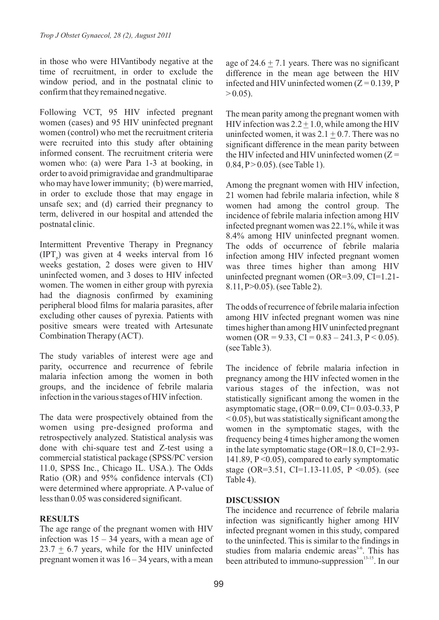in those who were HIVantibody negative at the time of recruitment, in order to exclude the window period, and in the postnatal clinic to confirm that they remained negative.

Following VCT, 95 HIV infected pregnant women (cases) and 95 HIV uninfected pregnant women (control) who met the recruitment criteria were recruited into this study after obtaining informed consent. The recruitment criteria were women who: (a) were Para 1-3 at booking, in order to avoid primigravidae and grandmultiparae who may have lower immunity; (b) were married, in order to exclude those that may engage in unsafe sex; and (d) carried their pregnancy to term, delivered in our hospital and attended the postnatal clinic.

Intermittent Preventive Therapy in Pregnancy  $(IPT<sub>n</sub>)$  was given at 4 weeks interval from 16 weeks gestation, 2 doses were given to HIV uninfected women, and 3 doses to HIV infected women. The women in either group with pyrexia had the diagnosis confirmed by examining peripheral blood films for malaria parasites, after excluding other causes of pyrexia. Patients with positive smears were treated with Artesunate Combination Therapy (ACT).

The study variables of interest were age and parity, occurrence and recurrence of febrile malaria infection among the women in both groups, and the incidence of febrile malaria infection in the various stages of HIV infection.

The data were prospectively obtained from the women using pre-designed proforma and retrospectively analyzed. Statistical analysis was done with chi-square test and Z-test using a commercial statistical package (SPSS/PC version 11.0, SPSS Inc., Chicago IL. USA.). The Odds Ratio (OR) and 95% confidence intervals (CI) were determined where appropriate. A P-value of less than 0.05 was considered significant.

# **RESULTS**

The age range of the pregnant women with HIV infection was  $15 - 34$  years, with a mean age of  $23.7 + 6.7$  years, while for the HIV uninfected pregnant women it was  $16 - 34$  years, with a mean

age of  $24.6 + 7.1$  years. There was no significant difference in the mean age between the HIV infected and HIV uninfected women  $(Z = 0.139, P)$  $> 0.05$ ).

The mean parity among the pregnant women with HIV infection was  $2.2 + 1.0$ , while among the HIV uninfected women, it was  $2.1 + 0.7$ . There was no significant difference in the mean parity between the HIV infected and HIV uninfected women  $(Z =$ 0.84,  $P > 0.05$ ). (see Table 1).

Among the pregnant women with HIV infection, 21 women had febrile malaria infection, while 8 women had among the control group. The incidence of febrile malaria infection among HIV infected pregnant women was 22.1%, while it was 8.4% among HIV uninfected pregnant women. The odds of occurrence of febrile malaria infection among HIV infected pregnant women was three times higher than among HIV uninfected pregnant women (OR=3.09, CI=1.21- 8.11, P>0.05). (see Table 2).

The odds of recurrence of febrile malaria infection among HIV infected pregnant women was nine times higher than among HIV uninfected pregnant women (OR = 9.33, CI =  $0.83 - 241.3$ , P < 0.05). (see Table 3).

The incidence of febrile malaria infection in pregnancy among the HIV infected women in the various stages of the infection, was not statistically significant among the women in the asymptomatic stage,  $(OR= 0.09, CI= 0.03-0.33, P)$  $\leq$  0.05), but was statistically significant among the women in the symptomatic stages, with the frequency being 4 times higher among the women in the late symptomatic stage (OR=18.0, CI=2.93- 141.89, P <0.05), compared to early symptomatic stage (OR=3.51, CI=1.13-11.05, P < 0.05). (see Table 4).

## **DISCUSSION**

The incidence and recurrence of febrile malaria infection was significantly higher among HIV infected pregnant women in this study, compared to the uninfected. This is similar to the findings in studies from malaria endemic areas<sup>3-6</sup>. This has been attributed to immuno-suppression $13-15$ . In our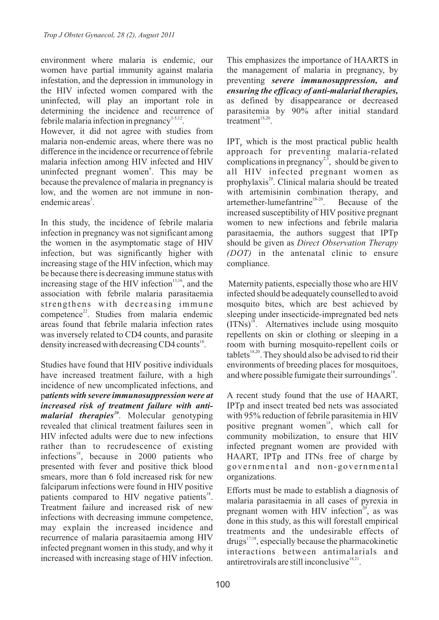environment where malaria is endemic, our women have partial immunity against malaria infestation, and the depression in immunology in the HIV infected women compared with the uninfected, will play an important role in determining the incidence and recurrence of febrile malaria infection in pregnancy<sup>3-5,12</sup>.

However, it did not agree with studies from malaria non-endemic areas, where there was no difference in the incidence or recurrence of febrile malaria infection among HIV infected and HIV uninfected pregnant women<sup>9</sup>. This may be because the prevalence of malaria in pregnancy is low, and the women are not immune in nonendemic areas<sup>3</sup>.

In this study, the incidence of febrile malaria infection in pregnancy was not significant among the women in the asymptomatic stage of HIV infection, but was significantly higher with increasing stage of the HIV infection, which may be because there is decreasing immune status with increasing stage of the HIV infection $13,16$ , and the association with febrile malaria parasitaemia strengthens with decreasing immune competence<sup>22</sup>. Studies from malaria endemic areas found that febrile malaria infection rates was inversely related to CD4 counts, and parasite density increased with decreasing CD4 counts<sup>18</sup>.

Studies have found that HIV positive individuals have increased treatment failure, with a high incidence of new uncomplicated infections, and p*atients with severe immunosuppression were at increased risk of treatment failure with antimalarial therapies*<sup>20</sup>. Molecular genotyping revealed that clinical treatment failures seen in HIV infected adults were due to new infections rather than to recrudescence of existing infections $^{18}$ , because in 2000 patients who presented with fever and positive thick blood smears, more than 6 fold increased risk for new falciparum infections were found in HIV positive patients compared to HIV negative patients<sup>18</sup>. Treatment failure and increased risk of new infections with decreasing immune competence, may explain the increased incidence and recurrence of malaria parasitaemia among HIV infected pregnant women in this study, and why it increased with increasing stage of HIV infection.

This emphasizes the importance of HAARTS in the management of malaria in pregnancy, by preventing *severe immunosuppression, and ensuring the efficacy of anti-malarial therapies,* as defined by disappearance or decreased parasitemia by 90% after initial standard treatment<sup>18,20</sup>

 $IPT<sub>n</sub>$  which is the most practical public health approach for preventing malaria-related complications in pregnancy<sup>2,3</sup>, should be given to all HIV infected pregnant women as prophylaxis<sup>20</sup>. Clinical malaria should be treated with artemisinin combination therapy, and artemether-lumefantrine<sup>18-20</sup>. Because of the increased susceptibility of HIV positive pregnant women to new infections and febrile malaria parasitaemia, the authors suggest that IPTp should be given as *Direct Observation Therapy (DOT)* in the antenatal clinic to ensure compliance.

Maternity patients, especially those who are HIV infected should be adequately counselled to avoid mosquito bites, which are best achieved by sleeping under insecticide-impregnated bed nets  $(ITNs)^{18}$ . Alternatives include using mosquito repellents on skin or clothing or sleeping in a room with burning mosquito-repellent coils or tablets<sup>18,20</sup>. They should also be advised to rid their environments of breeding places for mosquitoes, and where possible fumigate their surroundings $\mathrm{^{18}}$ .

A recent study found that the use of HAART, IPTp and insect treated bed nets was associated with 95% reduction of febrile parasitemia in HIV positive pregnant women<sup>18</sup>, which call for community mobilization, to ensure that HIV infected pregnant women are provided with HAART, IPTp and ITNs free of charge by governmental and non-governmental organizations.

Efforts must be made to establish a diagnosis of malaria parasitaemia in all cases of pyrexia in pregnant women with HIV infection<sup>20</sup>, as was done in this study, as this will forestall empirical treatments and the undesirable effects of  $drugs^{17,18}$ , especially because the pharmacokinetic interactions between antimalarials and antiretrovirals are still inconclusive  $18,21$ .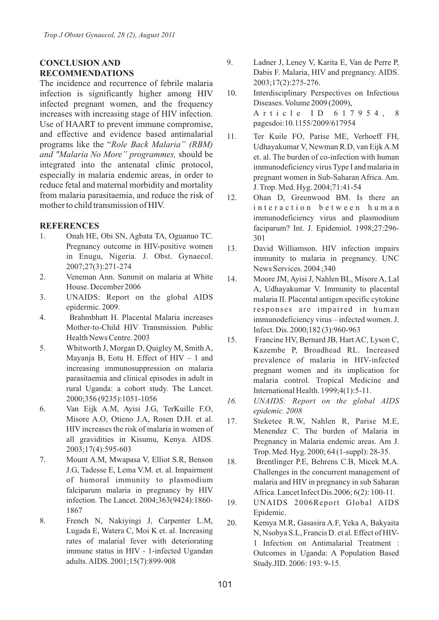## **CONCLUSION AND RECOMMENDATIONS**

The incidence and recurrence of febrile malaria infection is significantly higher among HIV infected pregnant women, and the frequency increases with increasing stage of HIV infection. Use of HAART to prevent immune compromise, and effective and evidence based antimalarial programs like the "*Role Back Malaria" (RBM) and "Malaria No More" programmes,* should be integrated into the antenatal clinic protocol, especially in malaria endemic areas, in order to reduce fetal and maternal morbidity and mortality from malaria parasitaemia, and reduce the risk of mother to child transmission of HIV.

### **REFERENCES**

- 1. Onah HE, Obi SN, Agbata TA, Oguanuo TC. Pregnancy outcome in HIV-positive women in Enugu, Nigeria. J. Obst. Gynaecol. 2007;27(3):271-274
- 2. Veneman Ann. Summit on malaria at White House. December 2006
- 3. UNAIDS: Report on the global AIDS epidermic. 2009.
- 4. Brahmbhatt H. Placental Malaria increases Mother-to-Child HIV Transmission. Public Health News Centre. 2003
- 5. Whitworth J, Morgan D, Quigley M, Smith A, Mayanja B, Eotu H. Effect of  $HIV - 1$  and increasing immunosuppression on malaria parasitaemia and clinical episodes in adult in rural Uganda: a cohort study. The Lancet. 2000;356 (9235):1051-1056
- 6. Van Eijk A.M, Ayisi J.G, TerKuille F.O, Misore A.O, Otieno J.A, Rosen D.H. et al. HIV increases the risk of malaria in women of all gravidities in Kisumu, Kenya. AIDS. 2003;17(4):595-603
- 7. Mount A.M, Mwapasa V, Elliot S.R, Benson J.G, Tadesse E, Lema V.M. et. al. Impairment of humoral immunity to plasmodium falciparum malaria in pregnancy by HIV infection. The Lancet. 2004;363(9424):1860- 1867
- 8. French N, Nakiyingi J, Carpenter L.M, Lugada E, Watera C, Moi K et. al. Increasing rates of malarial fever with deteriorating immune status in HIV - 1-infected Ugandan adults. AIDS. 2001;15(7):899-908
- 9. Ladner J, Leney V, Karita E, Van de Perre P, Dabis F. Malaria, HIV and pregnancy. AIDS. 2003;17(2):275-276.
- 10. Interdisciplinary Perspectives on Infectious Diseases. Volume 2009 (2009), A r t i c l e I D 6 1 7 9 5 4, 8 pagesdoi:10.1155/2009/617954
- 11. Ter Kuile FO, Parise ME, Verhoeff FH, Udhayakumar V, Newman R.D, van Eijk A.M et. al. The burden of co-infection with human immunodeficiency virus Type I and malaria in pregnant women in Sub-Saharan Africa. Am. J. Trop. Med. Hyg. 2004;71:41-54
- 12. Ohan D, Greenwood BM. Is there an interaction between human immunodeficiency virus and plasmodium faciparum? Int. J. Epidemiol. 1998;27:296- 301
- 13. David Williamson. HIV infection impairs immunity to malaria in pregnancy. UNC News Services. 2004 ;340
- 14. Moore JM, Ayisi J, Nahlen BL, Misore A, Lal A, Udhayakumar V. Immunity to placental malaria II. Placental antigen specific cytokine responses are impaired in human immunodeficiency virus – infected women. J. Infect. Dis. 2000;182 (3):960-963
- 15. Francine HV, Bernard JB, Hart AC, Lyson C, Kazembe P, Broadhead RL. Increased prevalence of malaria in HIV-infected pregnant women and its implication for malaria control. Tropical Medicine and International Health. 1999;4(1):5-11.
- *16. UNAIDS: Report on the global AIDS epidemic. 2008*
- 17. Steketee R.W, Nahlen R, Parise M.E, Menendez C. The burden of Malaria in Pregnancy in Malaria endemic areas. Am J. Trop. Med. Hyg. 2000; 64 (1-suppl): 28-35.
- 18. Brentlinger P.E, Behrens C.B, Micek M.A. Challenges in the concurrent management of malaria and HIV in pregnancy in sub Saharan Africa. Lancet Infect Dis.2006; 6(2): 100-11.
- 19. UNAIDS 2006Report Global AIDS Epidemic.
- 20. Kemya M.R, Gasasira A.F, Yeka A, Bakyaita N, Nsobya S.L, Francis D. et al. Effect of HIV-1 Infection on Antimalarial Treatment : Outcomes in Uganda: A Population Based Study.JID. 2006: 193: 9-15.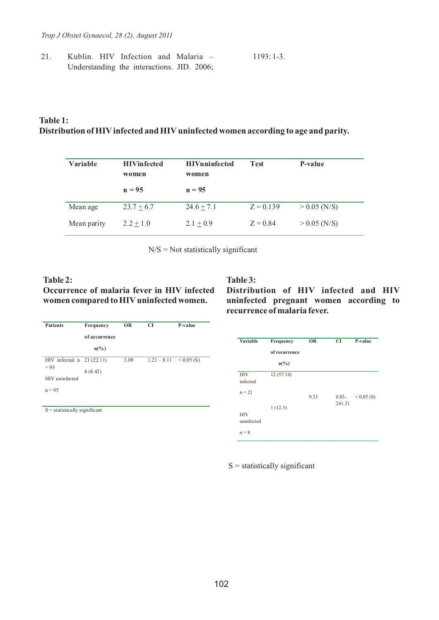21. Kublin. HIV Infection and Malaria – Understanding the interactions. JID. 2006; 1193: 1-3.

### **Table 1: Distribution of HIVinfected and HIVuninfected women according to age and parity.**

| Variable    | <b>HIVinfected</b><br>women | <b>HIVuninfected</b><br>women | <b>Test</b> | P-value        |
|-------------|-----------------------------|-------------------------------|-------------|----------------|
|             | $n = 95$                    | $n = 95$                      |             |                |
| Mean age    | $23.7 + 6.7$                | $24.6 + 7.1$                  | $Z = 0.139$ | $> 0.05$ (N/S) |
| Mean parity | $2.2 + 1.0$                 | 2.1 $\pm$ 0.9                 | $Z = 0.84$  | $> 0.05$ (N/S) |

 $N/S = Not$  statistically significant

#### **Table 2:**

# **Occurrence of malaria fever in HIV infected women compared to HIVuninfected women.**

| <b>Patients</b>                  | Frequency<br>of occurrence<br>$n\binom{0}{0}$ | <b>OR</b> | <b>CI</b>                  | P-value |
|----------------------------------|-----------------------------------------------|-----------|----------------------------|---------|
| HIV infected $n \quad 21(22.11)$ |                                               | 3.09      | $1.21 - 8.11 \le 0.05$ (S) |         |
| $= 95$                           | 8(8.42)                                       |           |                            |         |
| HIV uninfected                   |                                               |           |                            |         |
| $n = 95$                         |                                               |           |                            |         |
|                                  |                                               |           |                            |         |

 $S =$  statistically significant

# **Table 3:**

**Distribution of HIV infected and HIV uninfected pregnant women according to recurrence of malaria fever.**

| Variable                                        | Frequency<br>of recurrence<br>$n\binom{0}{0}$ | <b>OR</b> | <b>CI</b>          | P-value      |
|-------------------------------------------------|-----------------------------------------------|-----------|--------------------|--------------|
| <b>HIV</b><br>infected                          | 12(57.14)                                     |           |                    |              |
| $n = 21$<br><b>HIV</b><br>uninfected<br>$n = 8$ | 1(12.5)                                       | 9.33      | $0.83 -$<br>241.31 | $< 0.05$ (S) |

 $S =$  statistically significant